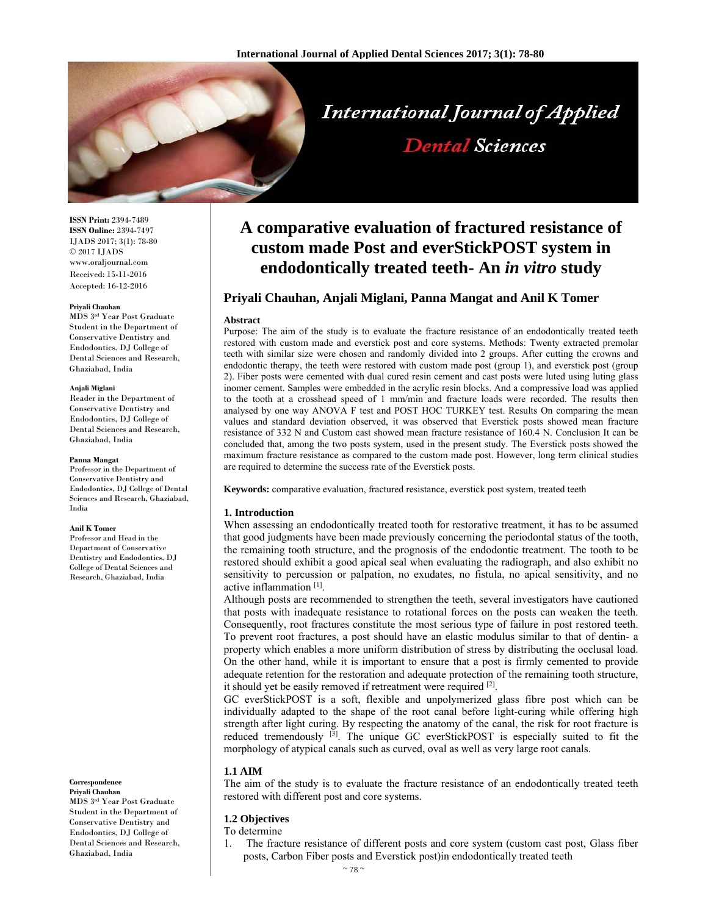

# **International Journal of Applied**

# **Dental Sciences**

**ISSN Print:** 2394-7489 **ISSN Online:** 2394-7497 IJADS 2017; 3(1): 78-80 © 2017 IJADS www.oraljournal.com Received: 15-11-2016 Accepted: 16-12-2016

#### **Priyali Chauhan**

MDS 3rd Year Post Graduate Student in the Department of Conservative Dentistry and Endodontics, DJ College of Dental Sciences and Research, Ghaziabad, India

#### **Anjali Miglani**

Reader in the Department of Conservative Dentistry and Endodontics, DJ College of Dental Sciences and Research, Ghaziabad, India

#### **Panna Mangat**

Professor in the Department of Conservative Dentistry and Endodontics, DJ College of Dental Sciences and Research, Ghaziabad, India

#### **Anil K Tomer**

Professor and Head in the Department of Conservative Dentistry and Endodontics, DJ College of Dental Sciences and Research, Ghaziabad, India

#### **Correspondence**

**Priyali Chauhan**  MDS 3rd Year Post Graduate Student in the Department of Conservative Dentistry and Endodontics, DJ College of Dental Sciences and Research, Ghaziabad, India

## **A comparative evaluation of fractured resistance of custom made Post and everStickPOST system in endodontically treated teeth- An** *in vitro* **study**

### **Priyali Chauhan, Anjali Miglani, Panna Mangat and Anil K Tomer**

#### **Abstract**

Purpose: The aim of the study is to evaluate the fracture resistance of an endodontically treated teeth restored with custom made and everstick post and core systems. Methods: Twenty extracted premolar teeth with similar size were chosen and randomly divided into 2 groups. After cutting the crowns and endodontic therapy, the teeth were restored with custom made post (group 1), and everstick post (group 2). Fiber posts were cemented with dual cured resin cement and cast posts were luted using luting glass inomer cement. Samples were embedded in the acrylic resin blocks. And a compressive load was applied to the tooth at a crosshead speed of 1 mm/min and fracture loads were recorded. The results then analysed by one way ANOVA F test and POST HOC TURKEY test. Results On comparing the mean values and standard deviation observed, it was observed that Everstick posts showed mean fracture resistance of 332 N and Custom cast showed mean fracture resistance of 160.4 N. Conclusion It can be concluded that, among the two posts system, used in the present study. The Everstick posts showed the maximum fracture resistance as compared to the custom made post. However, long term clinical studies are required to determine the success rate of the Everstick posts.

**Keywords:** comparative evaluation, fractured resistance, everstick post system, treated teeth

#### **1. Introduction**

When assessing an endodontically treated tooth for restorative treatment, it has to be assumed that good judgments have been made previously concerning the periodontal status of the tooth, the remaining tooth structure, and the prognosis of the endodontic treatment. The tooth to be restored should exhibit a good apical seal when evaluating the radiograph, and also exhibit no sensitivity to percussion or palpation, no exudates, no fistula, no apical sensitivity, and no active inflammation [1].

Although posts are recommended to strengthen the teeth, several investigators have cautioned that posts with inadequate resistance to rotational forces on the posts can weaken the teeth. Consequently, root fractures constitute the most serious type of failure in post restored teeth. To prevent root fractures, a post should have an elastic modulus similar to that of dentin- a property which enables a more uniform distribution of stress by distributing the occlusal load. On the other hand, while it is important to ensure that a post is firmly cemented to provide adequate retention for the restoration and adequate protection of the remaining tooth structure, it should yet be easily removed if retreatment were required [2].

GC everStickPOST is a soft, flexible and unpolymerized glass fibre post which can be individually adapted to the shape of the root canal before light-curing while offering high strength after light curing. By respecting the anatomy of the canal, the risk for root fracture is reduced tremendously <sup>[3]</sup>. The unique GC everStickPOST is especially suited to fit the morphology of atypical canals such as curved, oval as well as very large root canals.

#### **1.1 AIM**

The aim of the study is to evaluate the fracture resistance of an endodontically treated teeth restored with different post and core systems.

### **1.2 Objectives**

To determine

1. The fracture resistance of different posts and core system (custom cast post, Glass fiber posts, Carbon Fiber posts and Everstick post)in endodontically treated teeth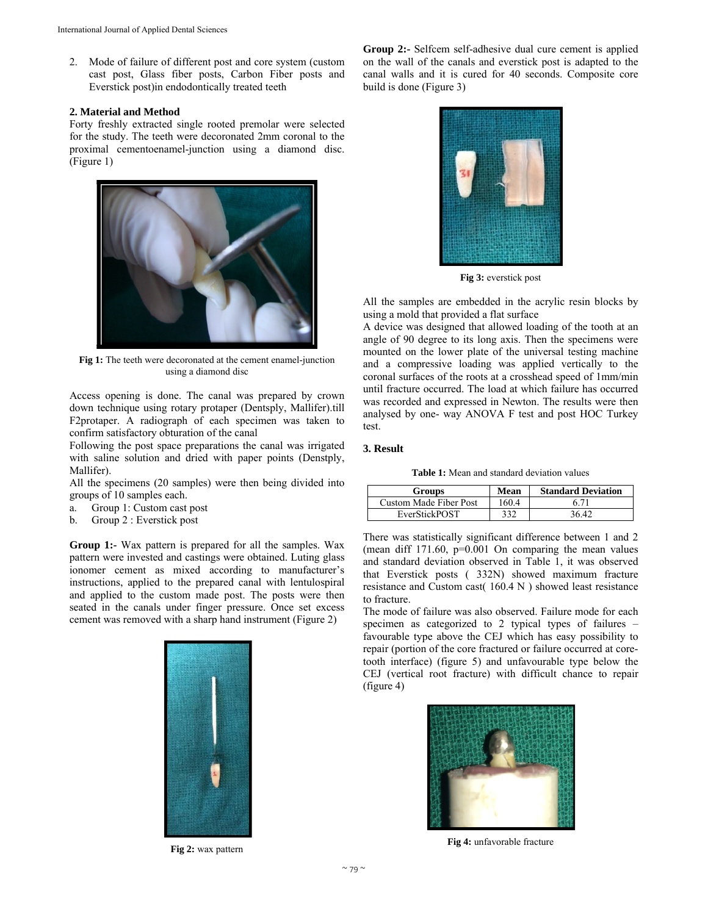2. Mode of failure of different post and core system (custom cast post, Glass fiber posts, Carbon Fiber posts and Everstick post)in endodontically treated teeth

#### **2. Material and Method**

Forty freshly extracted single rooted premolar were selected for the study. The teeth were decoronated 2mm coronal to the proximal cementoenamel-junction using a diamond disc. (Figure 1)



**Fig 1:** The teeth were decoronated at the cement enamel-junction using a diamond disc

Access opening is done. The canal was prepared by crown down technique using rotary protaper (Dentsply, Mallifer).till F2protaper. A radiograph of each specimen was taken to confirm satisfactory obturation of the canal

Following the post space preparations the canal was irrigated with saline solution and dried with paper points (Denstply, Mallifer).

All the specimens (20 samples) were then being divided into groups of 10 samples each.

- a. Group 1: Custom cast post
- b. Group 2 : Everstick post

**Group 1:-** Wax pattern is prepared for all the samples. Wax pattern were invested and castings were obtained. Luting glass ionomer cement as mixed according to manufacturer's instructions, applied to the prepared canal with lentulospiral and applied to the custom made post. The posts were then seated in the canals under finger pressure. Once set excess cement was removed with a sharp hand instrument (Figure 2)



**Fig 2:** wax pattern

**Group 2:-** Selfcem self-adhesive dual cure cement is applied on the wall of the canals and everstick post is adapted to the canal walls and it is cured for 40 seconds. Composite core build is done (Figure 3)



**Fig 3:** everstick post

All the samples are embedded in the acrylic resin blocks by using a mold that provided a flat surface

A device was designed that allowed loading of the tooth at an angle of 90 degree to its long axis. Then the specimens were mounted on the lower plate of the universal testing machine and a compressive loading was applied vertically to the coronal surfaces of the roots at a crosshead speed of 1mm/min until fracture occurred. The load at which failure has occurred was recorded and expressed in Newton. The results were then analysed by one- way ANOVA F test and post HOC Turkey test.

#### **3. Result**

**Table 1:** Mean and standard deviation values

| <b>Groups</b>          | Mean  | <b>Standard Deviation</b> |
|------------------------|-------|---------------------------|
| Custom Made Fiber Post | 160.4 | 6.71                      |
| EverStickPOST          | 332   | 36 42                     |

There was statistically significant difference between 1 and 2 (mean diff  $171.60$ ,  $p=0.001$  On comparing the mean values and standard deviation observed in Table 1, it was observed that Everstick posts ( 332N) showed maximum fracture resistance and Custom cast( 160.4 N ) showed least resistance to fracture.

The mode of failure was also observed. Failure mode for each specimen as categorized to 2 typical types of failures – favourable type above the CEJ which has easy possibility to repair (portion of the core fractured or failure occurred at coretooth interface) (figure 5) and unfavourable type below the CEJ (vertical root fracture) with difficult chance to repair (figure 4)



**Fig 4:** unfavorable fracture